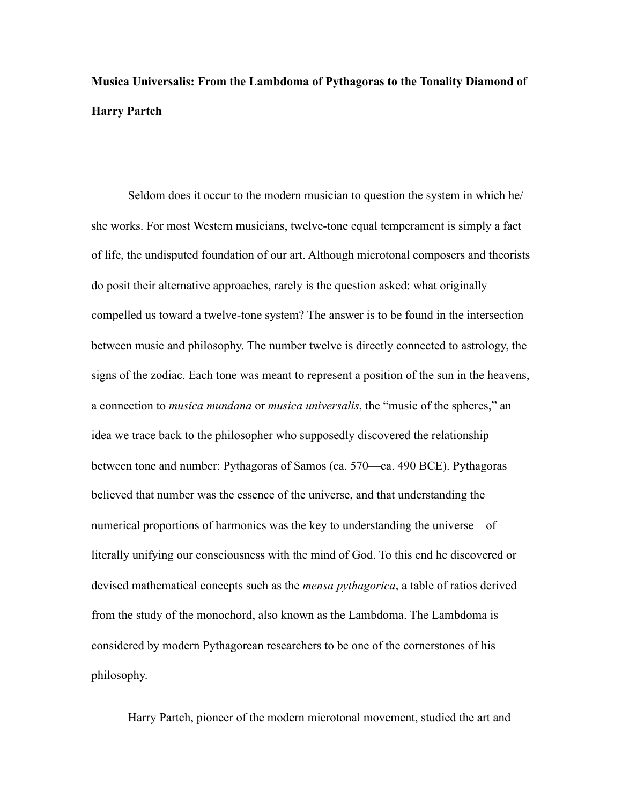# **Musica Universalis: From the Lambdoma of Pythagoras to the Tonality Diamond of Harry Partch**

Seldom does it occur to the modern musician to question the system in which he/ she works. For most Western musicians, twelve-tone equal temperament is simply a fact of life, the undisputed foundation of our art. Although microtonal composers and theorists do posit their alternative approaches, rarely is the question asked: what originally compelled us toward a twelve-tone system? The answer is to be found in the intersection between music and philosophy. The number twelve is directly connected to astrology, the signs of the zodiac. Each tone was meant to represent a position of the sun in the heavens, a connection to *musica mundana* or *musica universalis*, the "music of the spheres," an idea we trace back to the philosopher who supposedly discovered the relationship between tone and number: Pythagoras of Samos (ca. 570—ca. 490 BCE). Pythagoras believed that number was the essence of the universe, and that understanding the numerical proportions of harmonics was the key to understanding the universe—of literally unifying our consciousness with the mind of God. To this end he discovered or devised mathematical concepts such as the *mensa pythagorica*, a table of ratios derived from the study of the monochord, also known as the Lambdoma. The Lambdoma is considered by modern Pythagorean researchers to be one of the cornerstones of his philosophy.

Harry Partch, pioneer of the modern microtonal movement, studied the art and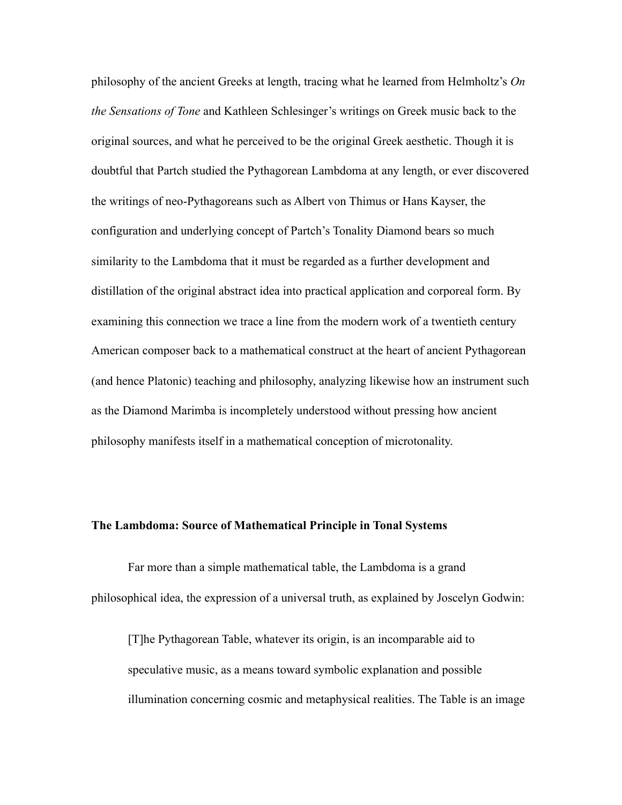philosophy of the ancient Greeks at length, tracing what he learned from Helmholtz's *On the Sensations of Tone* and Kathleen Schlesinger's writings on Greek music back to the original sources, and what he perceived to be the original Greek aesthetic. Though it is doubtful that Partch studied the Pythagorean Lambdoma at any length, or ever discovered the writings of neo-Pythagoreans such as Albert von Thimus or Hans Kayser, the configuration and underlying concept of Partch's Tonality Diamond bears so much similarity to the Lambdoma that it must be regarded as a further development and distillation of the original abstract idea into practical application and corporeal form. By examining this connection we trace a line from the modern work of a twentieth century American composer back to a mathematical construct at the heart of ancient Pythagorean (and hence Platonic) teaching and philosophy, analyzing likewise how an instrument such as the Diamond Marimba is incompletely understood without pressing how ancient philosophy manifests itself in a mathematical conception of microtonality.

## **The Lambdoma: Source of Mathematical Principle in Tonal Systems**

Far more than a simple mathematical table, the Lambdoma is a grand philosophical idea, the expression of a universal truth, as explained by Joscelyn Godwin:

[T]he Pythagorean Table, whatever its origin, is an incomparable aid to speculative music, as a means toward symbolic explanation and possible illumination concerning cosmic and metaphysical realities. The Table is an image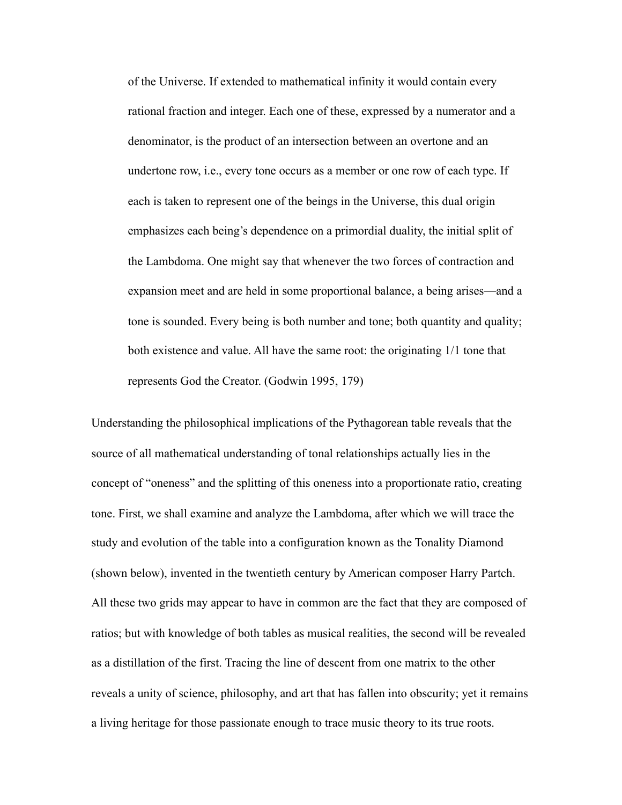of the Universe. If extended to mathematical infinity it would contain every rational fraction and integer. Each one of these, expressed by a numerator and a denominator, is the product of an intersection between an overtone and an undertone row, i.e., every tone occurs as a member or one row of each type. If each is taken to represent one of the beings in the Universe, this dual origin emphasizes each being's dependence on a primordial duality, the initial split of the Lambdoma. One might say that whenever the two forces of contraction and expansion meet and are held in some proportional balance, a being arises—and a tone is sounded. Every being is both number and tone; both quantity and quality; both existence and value. All have the same root: the originating 1/1 tone that represents God the Creator. (Godwin 1995, 179)

Understanding the philosophical implications of the Pythagorean table reveals that the source of all mathematical understanding of tonal relationships actually lies in the concept of "oneness" and the splitting of this oneness into a proportionate ratio, creating tone. First, we shall examine and analyze the Lambdoma, after which we will trace the study and evolution of the table into a configuration known as the Tonality Diamond (shown below), invented in the twentieth century by American composer Harry Partch. All these two grids may appear to have in common are the fact that they are composed of ratios; but with knowledge of both tables as musical realities, the second will be revealed as a distillation of the first. Tracing the line of descent from one matrix to the other reveals a unity of science, philosophy, and art that has fallen into obscurity; yet it remains a living heritage for those passionate enough to trace music theory to its true roots.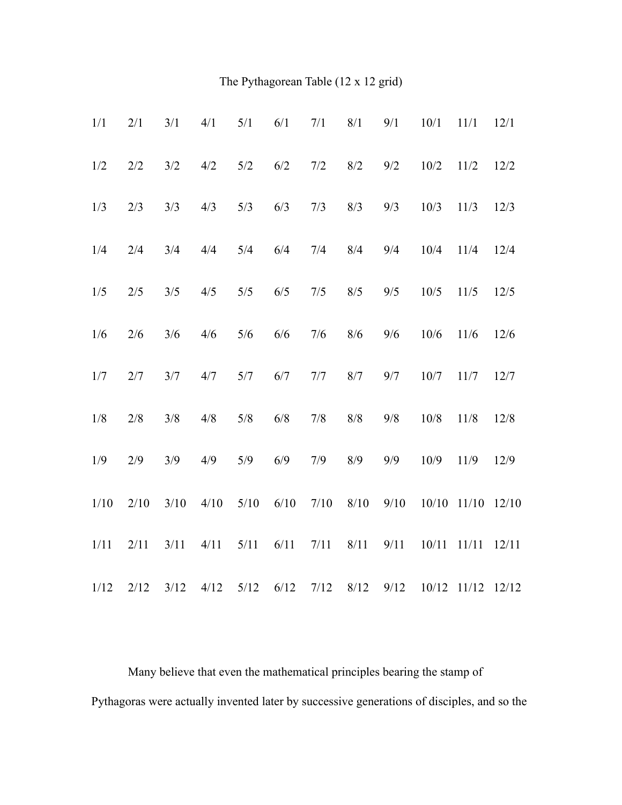The Pythagorean Table (12 x 12 grid)

| 1/1  | 2/1  | 3/1  | 4/1  | 5/1  | 6/1  | 7/1  | 8/1  | 9/1  | 10/1  | 11/1            | 12/1  |
|------|------|------|------|------|------|------|------|------|-------|-----------------|-------|
| 1/2  | 2/2  | 3/2  | 4/2  | 5/2  | 6/2  | 7/2  | 8/2  | 9/2  | 10/2  | 11/2            | 12/2  |
| 1/3  | 2/3  | 3/3  | 4/3  | 5/3  | 6/3  | 7/3  | 8/3  | 9/3  | 10/3  | 11/3            | 12/3  |
| 1/4  | 2/4  | 3/4  | 4/4  | 5/4  | 6/4  | 7/4  | 8/4  | 9/4  | 10/4  | 11/4            | 12/4  |
| 1/5  | 2/5  | 3/5  | 4/5  | 5/5  | 6/5  | 7/5  | 8/5  | 9/5  | 10/5  | 11/5            | 12/5  |
| 1/6  | 2/6  | 3/6  | 4/6  | 5/6  | 6/6  | 7/6  | 8/6  | 9/6  | 10/6  | 11/6            | 12/6  |
| 1/7  | 2/7  | 3/7  | 4/7  | 5/7  | 6/7  | 7/7  | 8/7  | 9/7  | 10/7  | 11/7            | 12/7  |
| 1/8  | 2/8  | 3/8  | 4/8  | 5/8  | 6/8  | 7/8  | 8/8  | 9/8  | 10/8  | 11/8            | 12/8  |
| 1/9  | 2/9  | 3/9  | 4/9  | 5/9  | 6/9  | 7/9  | 8/9  | 9/9  | 10/9  | 11/9            | 12/9  |
| 1/10 | 2/10 | 3/10 | 4/10 | 5/10 | 6/10 | 7/10 | 8/10 | 9/10 | 10/10 | 11/10           | 12/10 |
| 1/11 | 2/11 | 3/11 | 4/11 | 5/11 | 6/11 | 7/11 | 8/11 | 9/11 | 10/11 | 11/11           | 12/11 |
| 1/12 | 2/12 | 3/12 | 4/12 | 5/12 | 6/12 | 7/12 | 8/12 | 9/12 |       | $10/12$ $11/12$ | 12/12 |

 Many believe that even the mathematical principles bearing the stamp of Pythagoras were actually invented later by successive generations of disciples, and so the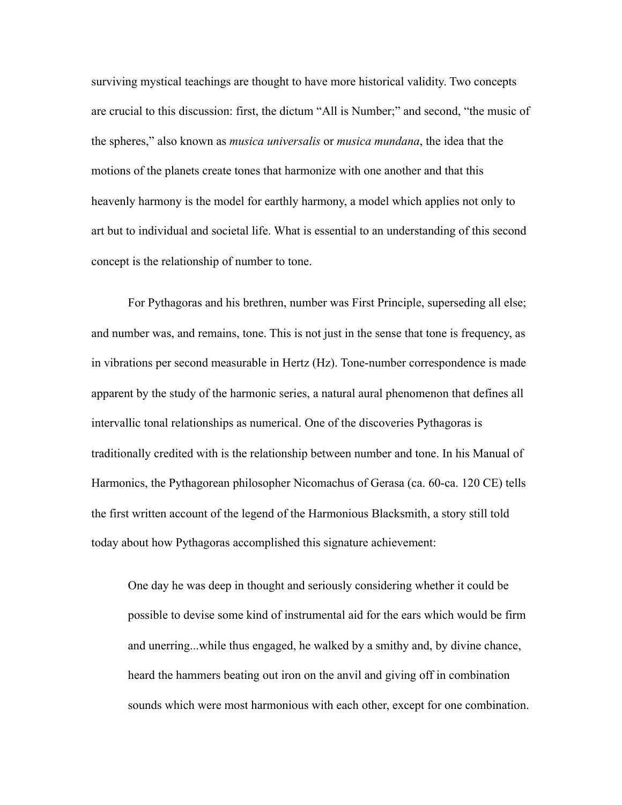surviving mystical teachings are thought to have more historical validity. Two concepts are crucial to this discussion: first, the dictum "All is Number;" and second, "the music of the spheres," also known as *musica universalis* or *musica mundana*, the idea that the motions of the planets create tones that harmonize with one another and that this heavenly harmony is the model for earthly harmony, a model which applies not only to art but to individual and societal life. What is essential to an understanding of this second concept is the relationship of number to tone.

For Pythagoras and his brethren, number was First Principle, superseding all else; and number was, and remains, tone. This is not just in the sense that tone is frequency, as in vibrations per second measurable in Hertz (Hz). Tone-number correspondence is made apparent by the study of the harmonic series, a natural aural phenomenon that defines all intervallic tonal relationships as numerical. One of the discoveries Pythagoras is traditionally credited with is the relationship between number and tone. In his Manual of Harmonics, the Pythagorean philosopher Nicomachus of Gerasa (ca. 60-ca. 120 CE) tells the first written account of the legend of the Harmonious Blacksmith, a story still told today about how Pythagoras accomplished this signature achievement:

One day he was deep in thought and seriously considering whether it could be possible to devise some kind of instrumental aid for the ears which would be firm and unerring...while thus engaged, he walked by a smithy and, by divine chance, heard the hammers beating out iron on the anvil and giving off in combination sounds which were most harmonious with each other, except for one combination.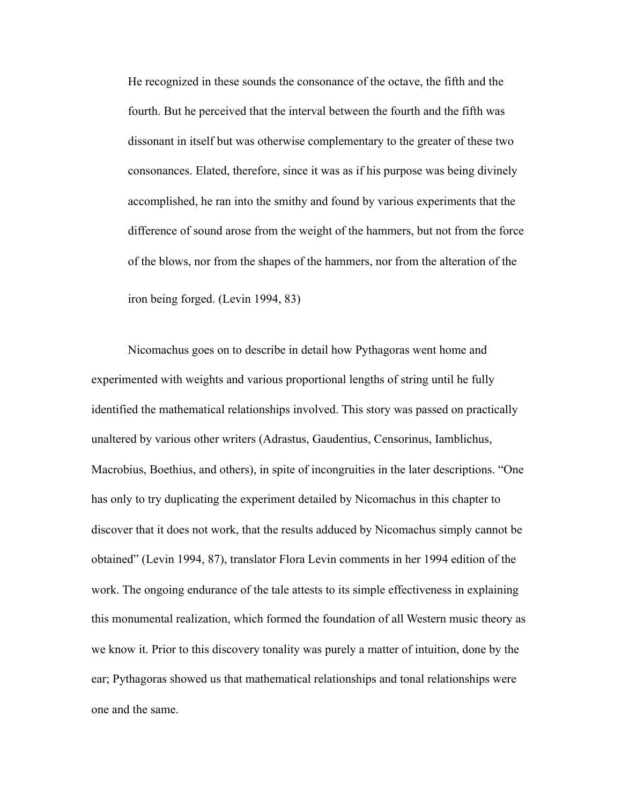He recognized in these sounds the consonance of the octave, the fifth and the fourth. But he perceived that the interval between the fourth and the fifth was dissonant in itself but was otherwise complementary to the greater of these two consonances. Elated, therefore, since it was as if his purpose was being divinely accomplished, he ran into the smithy and found by various experiments that the difference of sound arose from the weight of the hammers, but not from the force of the blows, nor from the shapes of the hammers, nor from the alteration of the iron being forged. (Levin 1994, 83)

 Nicomachus goes on to describe in detail how Pythagoras went home and experimented with weights and various proportional lengths of string until he fully identified the mathematical relationships involved. This story was passed on practically unaltered by various other writers (Adrastus, Gaudentius, Censorinus, Iamblichus, Macrobius, Boethius, and others), in spite of incongruities in the later descriptions. "One has only to try duplicating the experiment detailed by Nicomachus in this chapter to discover that it does not work, that the results adduced by Nicomachus simply cannot be obtained" (Levin 1994, 87), translator Flora Levin comments in her 1994 edition of the work. The ongoing endurance of the tale attests to its simple effectiveness in explaining this monumental realization, which formed the foundation of all Western music theory as we know it. Prior to this discovery tonality was purely a matter of intuition, done by the ear; Pythagoras showed us that mathematical relationships and tonal relationships were one and the same.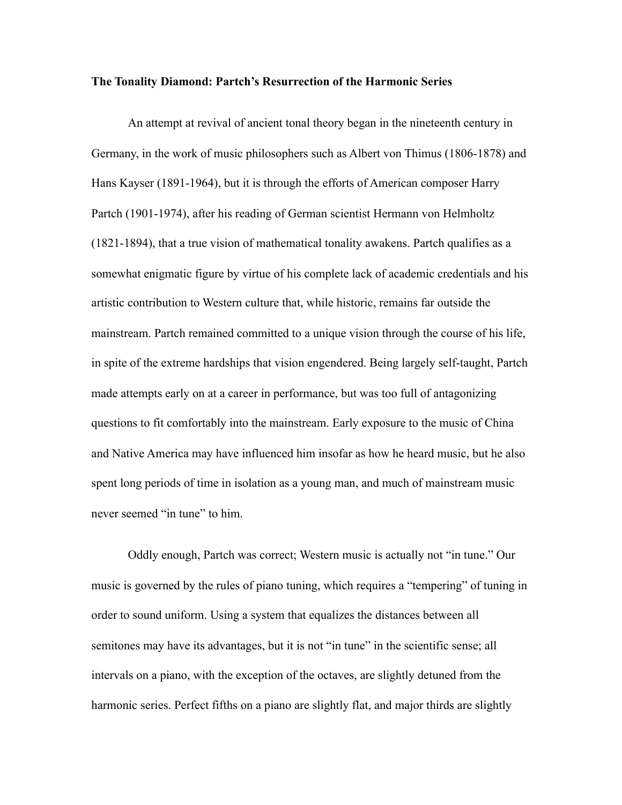#### **The Tonality Diamond: Partch's Resurrection of the Harmonic Series**

An attempt at revival of ancient tonal theory began in the nineteenth century in Germany, in the work of music philosophers such as Albert von Thimus (1806-1878) and Hans Kayser (1891-1964), but it is through the efforts of American composer Harry Partch (1901-1974), after his reading of German scientist Hermann von Helmholtz (1821-1894), that a true vision of mathematical tonality awakens. Partch qualifies as a somewhat enigmatic figure by virtue of his complete lack of academic credentials and his artistic contribution to Western culture that, while historic, remains far outside the mainstream. Partch remained committed to a unique vision through the course of his life, in spite of the extreme hardships that vision engendered. Being largely self-taught, Partch made attempts early on at a career in performance, but was too full of antagonizing questions to fit comfortably into the mainstream. Early exposure to the music of China and Native America may have influenced him insofar as how he heard music, but he also spent long periods of time in isolation as a young man, and much of mainstream music never seemed "in tune" to him.

Oddly enough, Partch was correct; Western music is actually not "in tune." Our music is governed by the rules of piano tuning, which requires a "tempering" of tuning in order to sound uniform. Using a system that equalizes the distances between all semitones may have its advantages, but it is not "in tune" in the scientific sense; all intervals on a piano, with the exception of the octaves, are slightly detuned from the harmonic series. Perfect fifths on a piano are slightly flat, and major thirds are slightly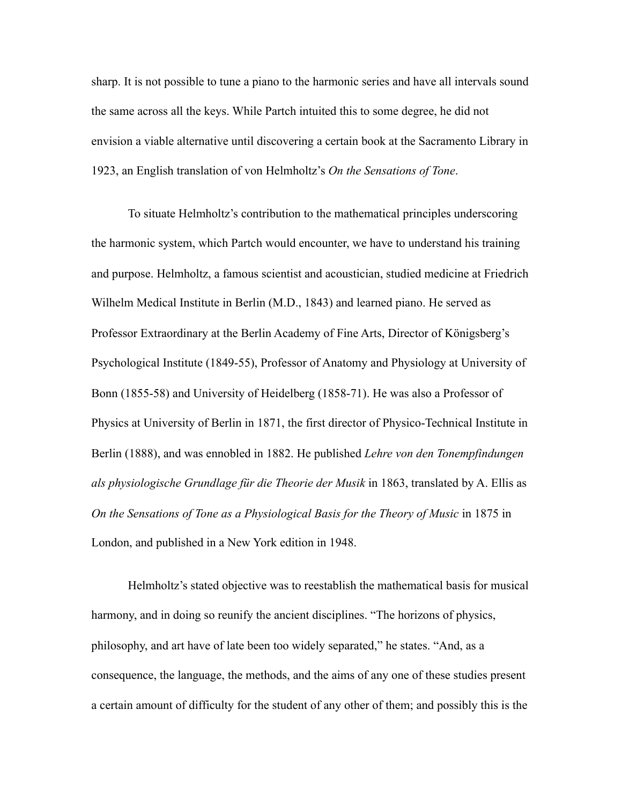sharp. It is not possible to tune a piano to the harmonic series and have all intervals sound the same across all the keys. While Partch intuited this to some degree, he did not envision a viable alternative until discovering a certain book at the Sacramento Library in 1923, an English translation of von Helmholtz's *On the Sensations of Tone*.

To situate Helmholtz's contribution to the mathematical principles underscoring the harmonic system, which Partch would encounter, we have to understand his training and purpose. Helmholtz, a famous scientist and acoustician, studied medicine at Friedrich Wilhelm Medical Institute in Berlin (M.D., 1843) and learned piano. He served as Professor Extraordinary at the Berlin Academy of Fine Arts, Director of Königsberg's Psychological Institute (1849-55), Professor of Anatomy and Physiology at University of Bonn (1855-58) and University of Heidelberg (1858-71). He was also a Professor of Physics at University of Berlin in 1871, the first director of Physico-Technical Institute in Berlin (1888), and was ennobled in 1882. He published *Lehre von den Tonempfindungen als physiologische Grundlage für die Theorie der Musik* in 1863, translated by A. Ellis as *On the Sensations of Tone as a Physiological Basis for the Theory of Music* in 1875 in London, and published in a New York edition in 1948.

Helmholtz's stated objective was to reestablish the mathematical basis for musical harmony, and in doing so reunify the ancient disciplines. "The horizons of physics, philosophy, and art have of late been too widely separated," he states. "And, as a consequence, the language, the methods, and the aims of any one of these studies present a certain amount of difficulty for the student of any other of them; and possibly this is the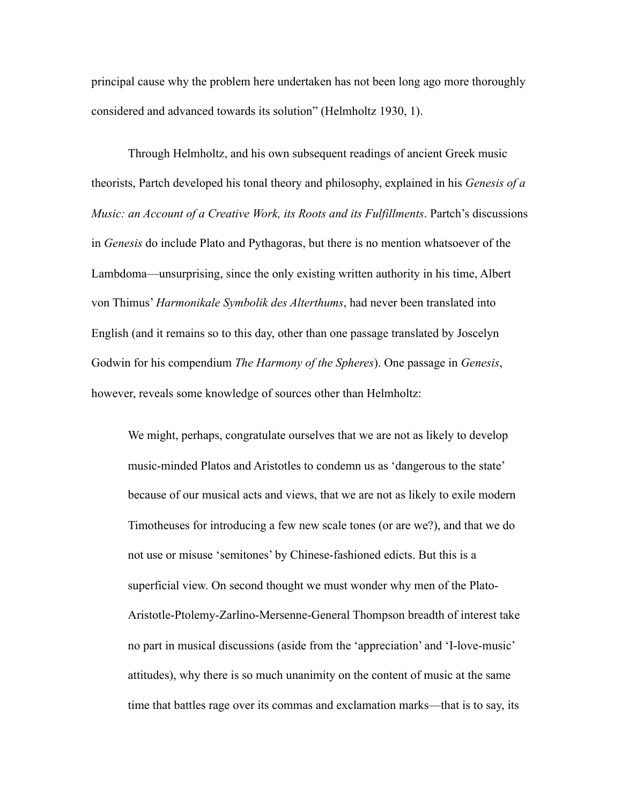principal cause why the problem here undertaken has not been long ago more thoroughly considered and advanced towards its solution" (Helmholtz 1930, 1).

Through Helmholtz, and his own subsequent readings of ancient Greek music theorists, Partch developed his tonal theory and philosophy, explained in his *Genesis of a Music: an Account of a Creative Work, its Roots and its Fulfillments*. Partch's discussions in *Genesis* do include Plato and Pythagoras, but there is no mention whatsoever of the Lambdoma—unsurprising, since the only existing written authority in his time, Albert von Thimus' *Harmonikale Symbolik des Alterthums*, had never been translated into English (and it remains so to this day, other than one passage translated by Joscelyn Godwin for his compendium *The Harmony of the Spheres*). One passage in *Genesis*, however, reveals some knowledge of sources other than Helmholtz:

We might, perhaps, congratulate ourselves that we are not as likely to develop music-minded Platos and Aristotles to condemn us as 'dangerous to the state' because of our musical acts and views, that we are not as likely to exile modern Timotheuses for introducing a few new scale tones (or are we?), and that we do not use or misuse 'semitones' by Chinese-fashioned edicts. But this is a superficial view. On second thought we must wonder why men of the Plato-Aristotle-Ptolemy-Zarlino-Mersenne-General Thompson breadth of interest take no part in musical discussions (aside from the 'appreciation' and 'I-love-music' attitudes), why there is so much unanimity on the content of music at the same time that battles rage over its commas and exclamation marks—that is to say, its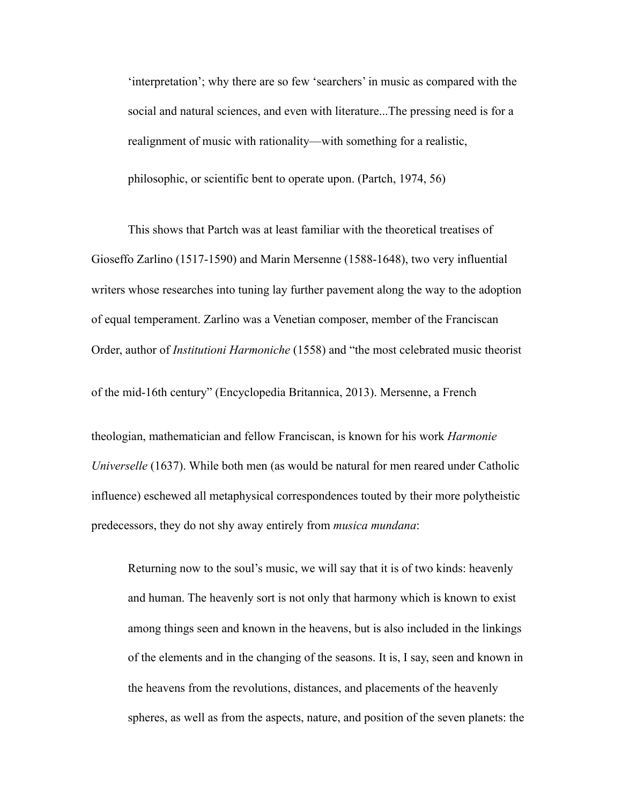'interpretation'; why there are so few 'searchers' in music as compared with the social and natural sciences, and even with literature...The pressing need is for a realignment of music with rationality—with something for a realistic, philosophic, or scientific bent to operate upon. (Partch, 1974, 56)

 This shows that Partch was at least familiar with the theoretical treatises of Gioseffo Zarlino (1517-1590) and Marin Mersenne (1588-1648), two very influential writers whose researches into tuning lay further pavement along the way to the adoption of equal temperament. Zarlino was a Venetian composer, member of the Franciscan Order, author of *Institutioni Harmoniche* (1558) and "the most celebrated music theorist

of the mid-16th century" (Encyclopedia Britannica, 2013). Mersenne, a French

theologian, mathematician and fellow Franciscan, is known for his work *Harmonie Universelle* (1637). While both men (as would be natural for men reared under Catholic influence) eschewed all metaphysical correspondences touted by their more polytheistic predecessors, they do not shy away entirely from *musica mundana*:

Returning now to the soul's music, we will say that it is of two kinds: heavenly and human. The heavenly sort is not only that harmony which is known to exist among things seen and known in the heavens, but is also included in the linkings of the elements and in the changing of the seasons. It is, I say, seen and known in the heavens from the revolutions, distances, and placements of the heavenly spheres, as well as from the aspects, nature, and position of the seven planets: the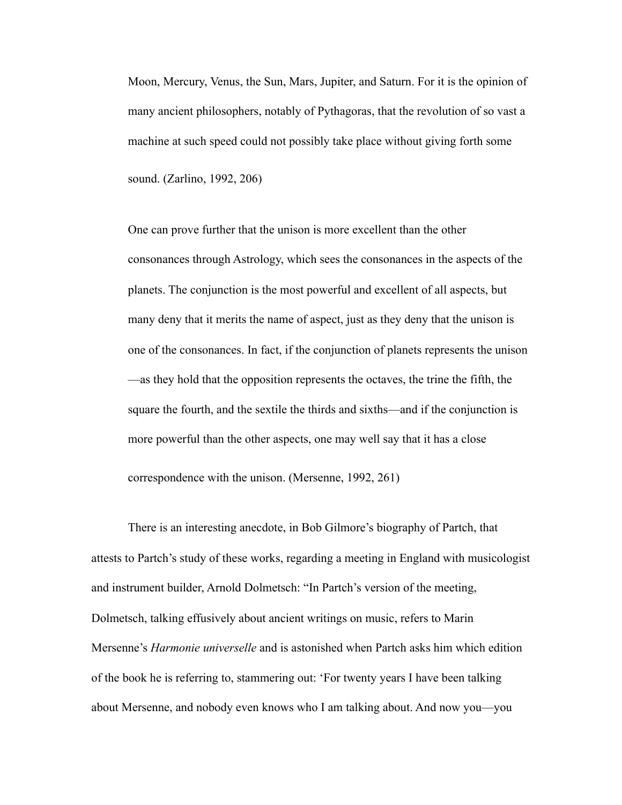Moon, Mercury, Venus, the Sun, Mars, Jupiter, and Saturn. For it is the opinion of many ancient philosophers, notably of Pythagoras, that the revolution of so vast a machine at such speed could not possibly take place without giving forth some sound. (Zarlino, 1992, 206)

One can prove further that the unison is more excellent than the other consonances through Astrology, which sees the consonances in the aspects of the planets. The conjunction is the most powerful and excellent of all aspects, but many deny that it merits the name of aspect, just as they deny that the unison is one of the consonances. In fact, if the conjunction of planets represents the unison —as they hold that the opposition represents the octaves, the trine the fifth, the square the fourth, and the sextile the thirds and sixths—and if the conjunction is more powerful than the other aspects, one may well say that it has a close correspondence with the unison. (Mersenne, 1992, 261)

 There is an interesting anecdote, in Bob Gilmore's biography of Partch, that attests to Partch's study of these works, regarding a meeting in England with musicologist and instrument builder, Arnold Dolmetsch: "In Partch's version of the meeting, Dolmetsch, talking effusively about ancient writings on music, refers to Marin Mersenne's *Harmonie universelle* and is astonished when Partch asks him which edition of the book he is referring to, stammering out: 'For twenty years I have been talking about Mersenne, and nobody even knows who I am talking about. And now you—you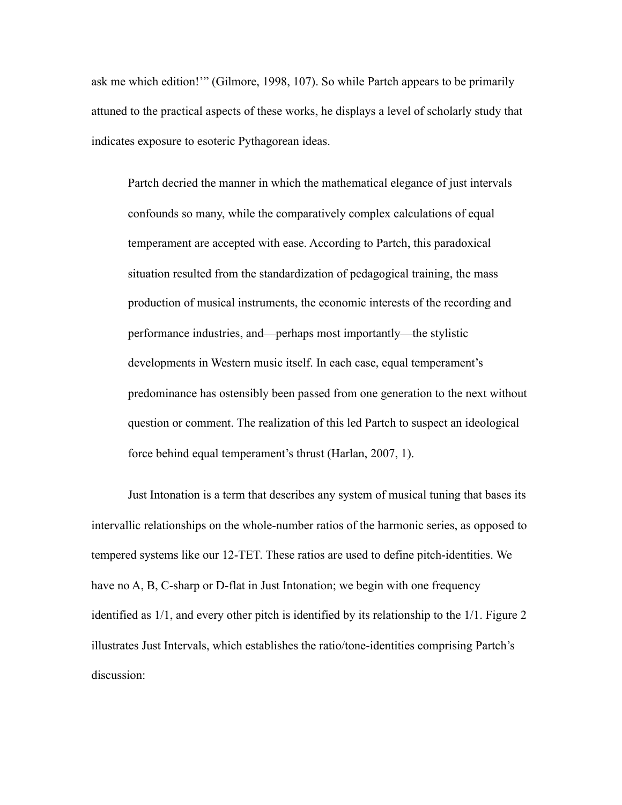ask me which edition!'" (Gilmore, 1998, 107). So while Partch appears to be primarily attuned to the practical aspects of these works, he displays a level of scholarly study that indicates exposure to esoteric Pythagorean ideas.

Partch decried the manner in which the mathematical elegance of just intervals confounds so many, while the comparatively complex calculations of equal temperament are accepted with ease. According to Partch, this paradoxical situation resulted from the standardization of pedagogical training, the mass production of musical instruments, the economic interests of the recording and performance industries, and—perhaps most importantly—the stylistic developments in Western music itself. In each case, equal temperament's predominance has ostensibly been passed from one generation to the next without question or comment. The realization of this led Partch to suspect an ideological force behind equal temperament's thrust (Harlan, 2007, 1).

Just Intonation is a term that describes any system of musical tuning that bases its intervallic relationships on the whole-number ratios of the harmonic series, as opposed to tempered systems like our 12-TET. These ratios are used to define pitch-identities. We have no A, B, C-sharp or D-flat in Just Intonation; we begin with one frequency identified as 1/1, and every other pitch is identified by its relationship to the 1/1. Figure 2 illustrates Just Intervals, which establishes the ratio/tone-identities comprising Partch's discussion: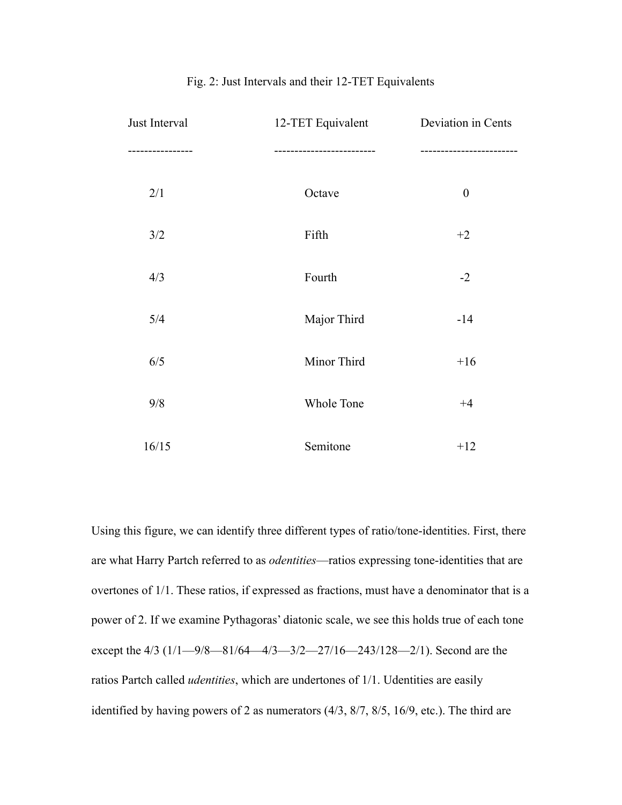| Just Interval    | 12-TET Equivalent      | Deviation in Cents       |
|------------------|------------------------|--------------------------|
| ---------------- | ---------------------- | ------------------------ |
| 2/1              | Octave                 | $\boldsymbol{0}$         |
| 3/2              | Fifth                  | $+2$                     |
| 4/3              | Fourth                 | $-2$                     |
| 5/4              | Major Third            | $-14$                    |
| 6/5              | Minor Third            | $+16$                    |
| 9/8              | Whole Tone             | $+4$                     |
| 16/15            | Semitone               | $+12$                    |

### Fig. 2: Just Intervals and their 12-TET Equivalents

Using this figure, we can identify three different types of ratio/tone-identities. First, there are what Harry Partch referred to as *odentities*—ratios expressing tone-identities that are overtones of 1/1. These ratios, if expressed as fractions, must have a denominator that is a power of 2. If we examine Pythagoras' diatonic scale, we see this holds true of each tone except the 4/3 (1/1—9/8—81/64—4/3—3/2—27/16—243/128—2/1). Second are the ratios Partch called *udentities*, which are undertones of 1/1. Udentities are easily identified by having powers of 2 as numerators (4/3, 8/7, 8/5, 16/9, etc.). The third are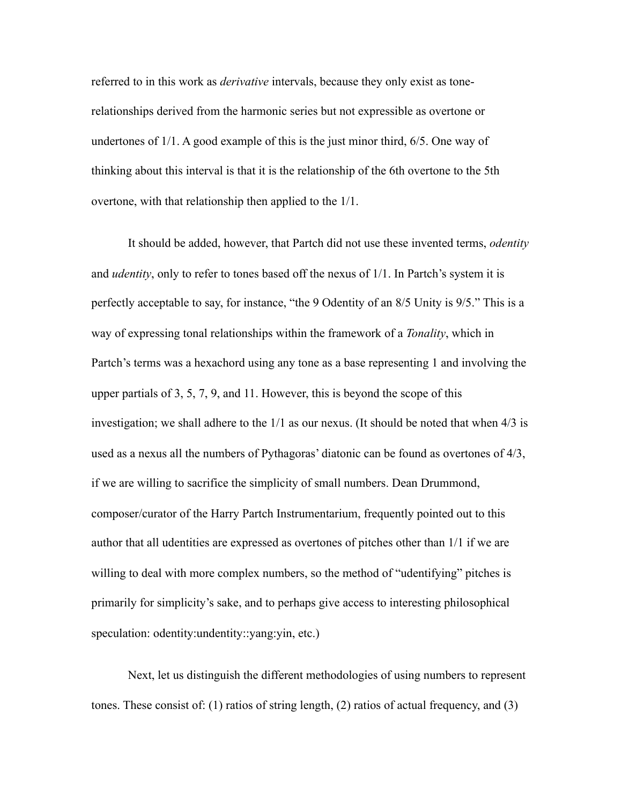referred to in this work as *derivative* intervals, because they only exist as tonerelationships derived from the harmonic series but not expressible as overtone or undertones of 1/1. A good example of this is the just minor third, 6/5. One way of thinking about this interval is that it is the relationship of the 6th overtone to the 5th overtone, with that relationship then applied to the 1/1.

It should be added, however, that Partch did not use these invented terms, *odentity* and *udentity*, only to refer to tones based off the nexus of 1/1. In Partch's system it is perfectly acceptable to say, for instance, "the 9 Odentity of an 8/5 Unity is 9/5." This is a way of expressing tonal relationships within the framework of a *Tonality*, which in Partch's terms was a hexachord using any tone as a base representing 1 and involving the upper partials of 3, 5, 7, 9, and 11. However, this is beyond the scope of this investigation; we shall adhere to the 1/1 as our nexus. (It should be noted that when 4/3 is used as a nexus all the numbers of Pythagoras' diatonic can be found as overtones of 4/3, if we are willing to sacrifice the simplicity of small numbers. Dean Drummond, composer/curator of the Harry Partch Instrumentarium, frequently pointed out to this author that all udentities are expressed as overtones of pitches other than 1/1 if we are willing to deal with more complex numbers, so the method of "udentifying" pitches is primarily for simplicity's sake, and to perhaps give access to interesting philosophical speculation: odentity:undentity::vang:vin, etc.)

Next, let us distinguish the different methodologies of using numbers to represent tones. These consist of: (1) ratios of string length, (2) ratios of actual frequency, and (3)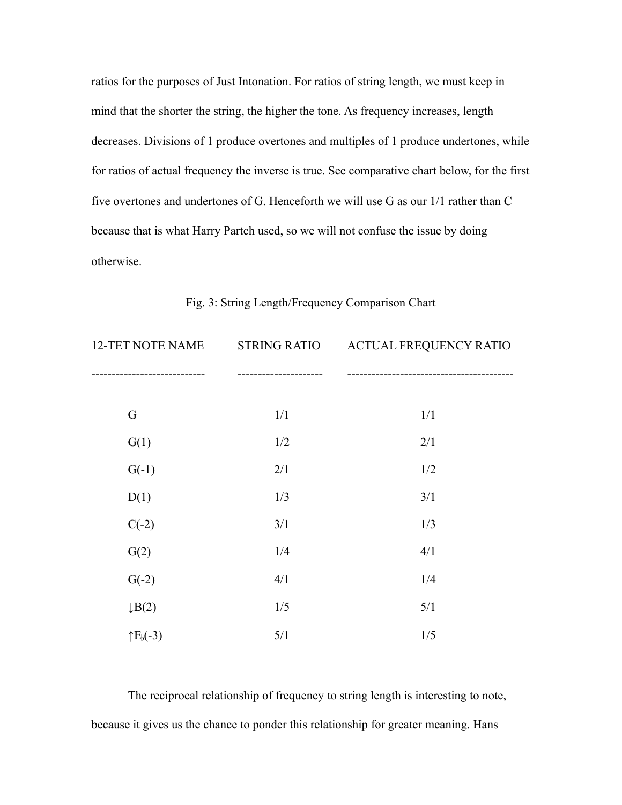ratios for the purposes of Just Intonation. For ratios of string length, we must keep in mind that the shorter the string, the higher the tone. As frequency increases, length decreases. Divisions of 1 produce overtones and multiples of 1 produce undertones, while for ratios of actual frequency the inverse is true. See comparative chart below, for the first five overtones and undertones of G. Henceforth we will use G as our 1/1 rather than C because that is what Harry Partch used, so we will not confuse the issue by doing otherwise.

| 12-TET NOTE NAME   | <b>STRING RATIO</b> | <b>ACTUAL FREQUENCY RATIO</b> |  |  |
|--------------------|---------------------|-------------------------------|--|--|
|                    |                     |                               |  |  |
| G                  | 1/1                 | 1/1                           |  |  |
| G(1)               | 1/2                 | 2/1                           |  |  |
| $G(-1)$            | 2/1                 | 1/2                           |  |  |
| D(1)               | 1/3                 | 3/1                           |  |  |
| $C(-2)$            | 3/1                 | 1/3                           |  |  |
| G(2)               | 1/4                 | 4/1                           |  |  |
| $G(-2)$            | 4/1                 | 1/4                           |  |  |
| $\downarrow B(2)$  | 1/5                 | 5/1                           |  |  |
| $\uparrow E_b(-3)$ | 5/1                 | 1/5                           |  |  |

Fig. 3: String Length/Frequency Comparison Chart

 The reciprocal relationship of frequency to string length is interesting to note, because it gives us the chance to ponder this relationship for greater meaning. Hans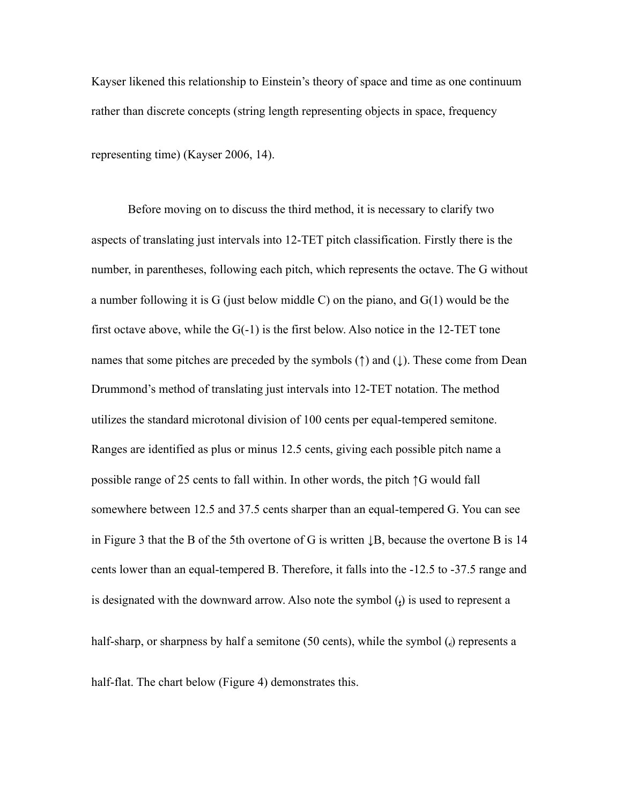Kayser likened this relationship to Einstein's theory of space and time as one continuum rather than discrete concepts (string length representing objects in space, frequency

representing time) (Kayser 2006, 14).

Before moving on to discuss the third method, it is necessary to clarify two aspects of translating just intervals into 12-TET pitch classification. Firstly there is the number, in parentheses, following each pitch, which represents the octave. The G without a number following it is G (just below middle C) on the piano, and  $G(1)$  would be the first octave above, while the  $G(-1)$  is the first below. Also notice in the 12-TET tone names that some pitches are preceded by the symbols  $(†)$  and  $($   $\downarrow$  $)$ . These come from Dean Drummond's method of translating just intervals into 12-TET notation. The method utilizes the standard microtonal division of 100 cents per equal-tempered semitone. Ranges are identified as plus or minus 12.5 cents, giving each possible pitch name a possible range of 25 cents to fall within. In other words, the pitch ↑G would fall somewhere between 12.5 and 37.5 cents sharper than an equal-tempered G. You can see in Figure 3 that the B of the 5th overtone of G is written ↓B, because the overtone B is 14 cents lower than an equal-tempered B. Therefore, it falls into the -12.5 to -37.5 range and is designated with the downward arrow. Also note the symbol  $\mu$  is used to represent a half-sharp, or sharpness by half a semitone  $(50 \text{ cents})$ , while the symbol  $\mathcal{A}$  represents a

half-flat. The chart below (Figure 4) demonstrates this.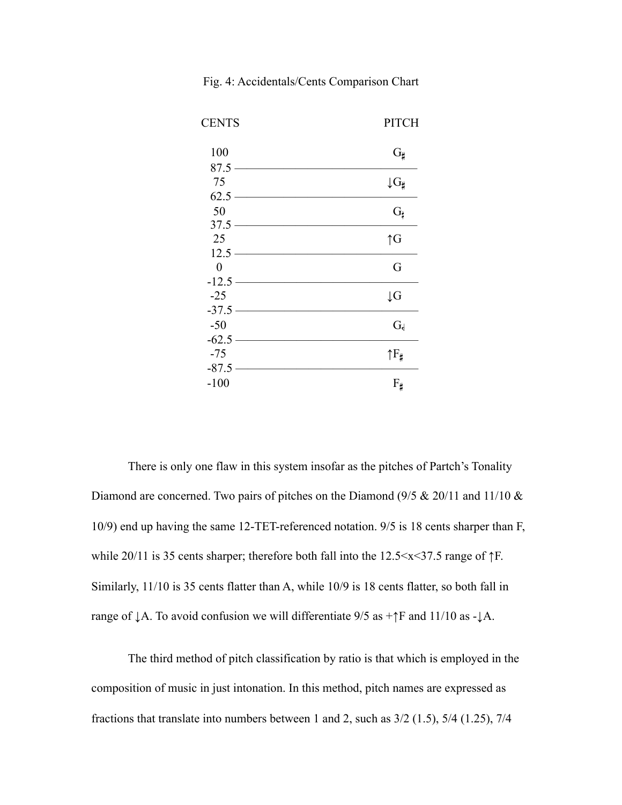| <b>CENTS</b>     | <b>PITCH</b>          |
|------------------|-----------------------|
| 100              | $G_{\sharp}$          |
| $87.5 -$         |                       |
| 75               | $\downarrow$ G#       |
| $62.5 -$         |                       |
| 50               | $G_{\sharp}$          |
| $37.5 -$         |                       |
| 25               | $\uparrow G$          |
| $12.5 -$         |                       |
| $\boldsymbol{0}$ | G                     |
| $-12.5-$         |                       |
| $-25$            | $\downarrow$ G        |
| $-37.5 -$        |                       |
| $-50$            | $G_{d}$               |
| $-62.5 -$        |                       |
| $-75$            | $\uparrow F_{\sharp}$ |
| $-87.5-$         |                       |
| $-100$           | $F_{\sharp}$          |
|                  |                       |

Fig. 4: Accidentals/Cents Comparison Chart

 There is only one flaw in this system insofar as the pitches of Partch's Tonality Diamond are concerned. Two pairs of pitches on the Diamond (9/5 & 20/11 and 11/10 & 10/9) end up having the same 12-TET-referenced notation. 9/5 is 18 cents sharper than F, while 20/11 is 35 cents sharper; therefore both fall into the 12.5<x<37.5 range of ↑F. Similarly, 11/10 is 35 cents flatter than A, while 10/9 is 18 cents flatter, so both fall in range of  $\downarrow$  A. To avoid confusion we will differentiate 9/5 as +↑F and 11/10 as - $\downarrow$  A.

The third method of pitch classification by ratio is that which is employed in the composition of music in just intonation. In this method, pitch names are expressed as fractions that translate into numbers between 1 and 2, such as 3/2 (1.5), 5/4 (1.25), 7/4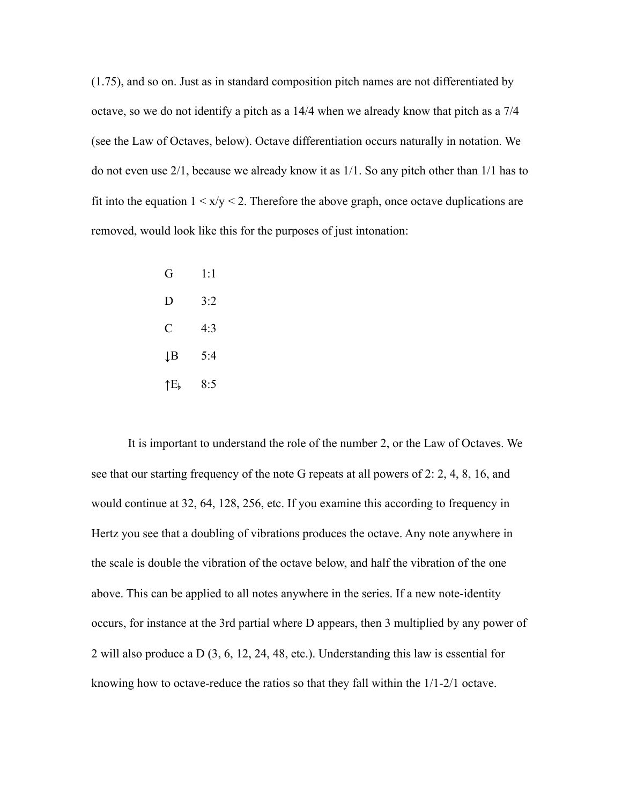(1.75), and so on. Just as in standard composition pitch names are not differentiated by octave, so we do not identify a pitch as a 14/4 when we already know that pitch as a 7/4 (see the Law of Octaves, below). Octave differentiation occurs naturally in notation. We do not even use 2/1, because we already know it as 1/1. So any pitch other than 1/1 has to fit into the equation  $1 \le x/y \le 2$ . Therefore the above graph, once octave duplications are removed, would look like this for the purposes of just intonation:

| G   | 1:1 |
|-----|-----|
| D   | 3:2 |
| C   | 4:3 |
| ĮΒ  | 5:4 |
| ↑E, | 8:5 |

It is important to understand the role of the number 2, or the Law of Octaves. We see that our starting frequency of the note G repeats at all powers of 2: 2, 4, 8, 16, and would continue at 32, 64, 128, 256, etc. If you examine this according to frequency in Hertz you see that a doubling of vibrations produces the octave. Any note anywhere in the scale is double the vibration of the octave below, and half the vibration of the one above. This can be applied to all notes anywhere in the series. If a new note-identity occurs, for instance at the 3rd partial where D appears, then 3 multiplied by any power of 2 will also produce a D (3, 6, 12, 24, 48, etc.). Understanding this law is essential for knowing how to octave-reduce the ratios so that they fall within the 1/1-2/1 octave.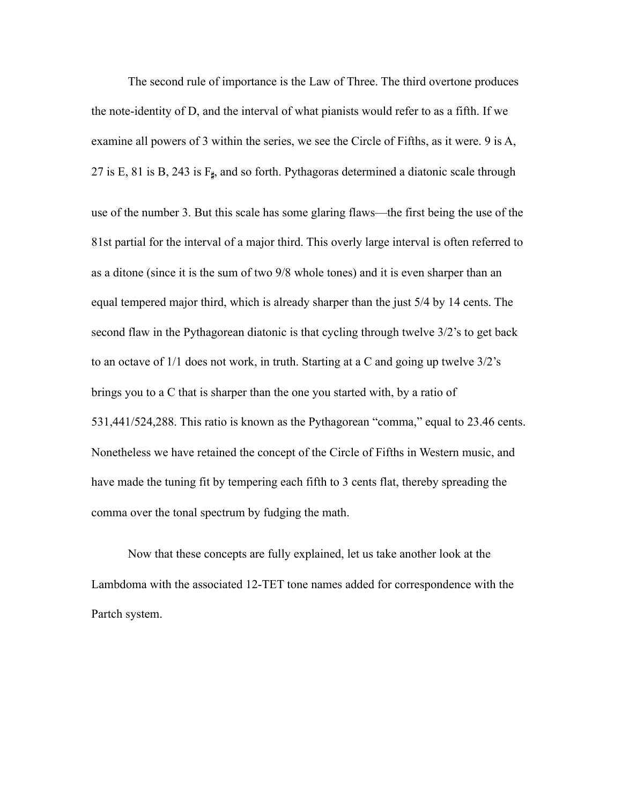The second rule of importance is the Law of Three. The third overtone produces the note-identity of D, and the interval of what pianists would refer to as a fifth. If we examine all powers of 3 within the series, we see the Circle of Fifths, as it were. 9 is A, 27 is E, 81 is B, 243 is  $F_{\sharp}$ , and so forth. Pythagoras determined a diatonic scale through use of the number 3. But this scale has some glaring flaws—the first being the use of the 81st partial for the interval of a major third. This overly large interval is often referred to as a ditone (since it is the sum of two 9/8 whole tones) and it is even sharper than an equal tempered major third, which is already sharper than the just 5/4 by 14 cents. The second flaw in the Pythagorean diatonic is that cycling through twelve 3/2's to get back to an octave of 1/1 does not work, in truth. Starting at a C and going up twelve 3/2's brings you to a C that is sharper than the one you started with, by a ratio of 531,441/524,288. This ratio is known as the Pythagorean "comma," equal to 23.46 cents. Nonetheless we have retained the concept of the Circle of Fifths in Western music, and have made the tuning fit by tempering each fifth to 3 cents flat, thereby spreading the comma over the tonal spectrum by fudging the math.

Now that these concepts are fully explained, let us take another look at the Lambdoma with the associated 12-TET tone names added for correspondence with the Partch system.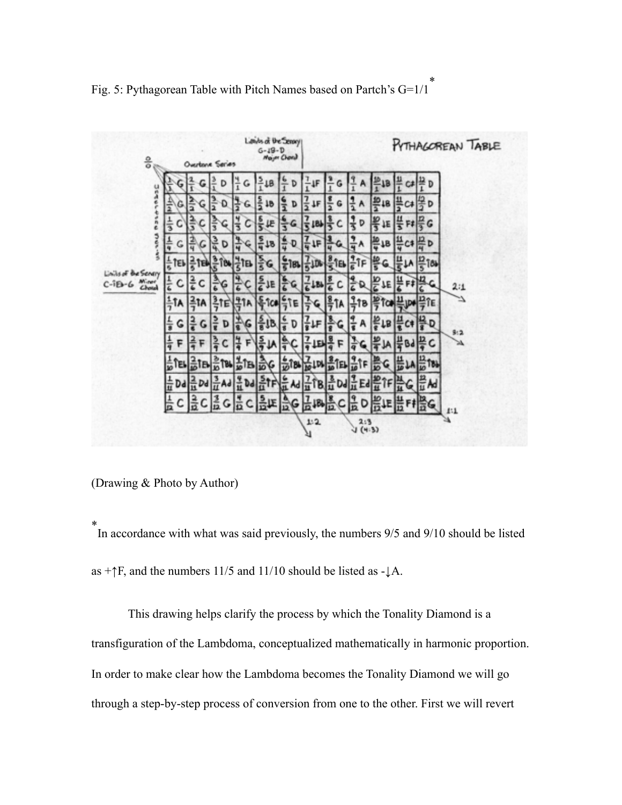

Fig. 5: Pythagorean Table with Pitch Names based on Partch's  $G=1/1$ <sup>\*</sup>

(Drawing & Photo by Author)

\* In accordance with what was said previously, the numbers 9/5 and 9/10 should be listed as  $+\uparrow$ F, and the numbers 11/5 and 11/10 should be listed as - $\downarrow$ A.

 This drawing helps clarify the process by which the Tonality Diamond is a transfiguration of the Lambdoma, conceptualized mathematically in harmonic proportion. In order to make clear how the Lambdoma becomes the Tonality Diamond we will go through a step-by-step process of conversion from one to the other. First we will revert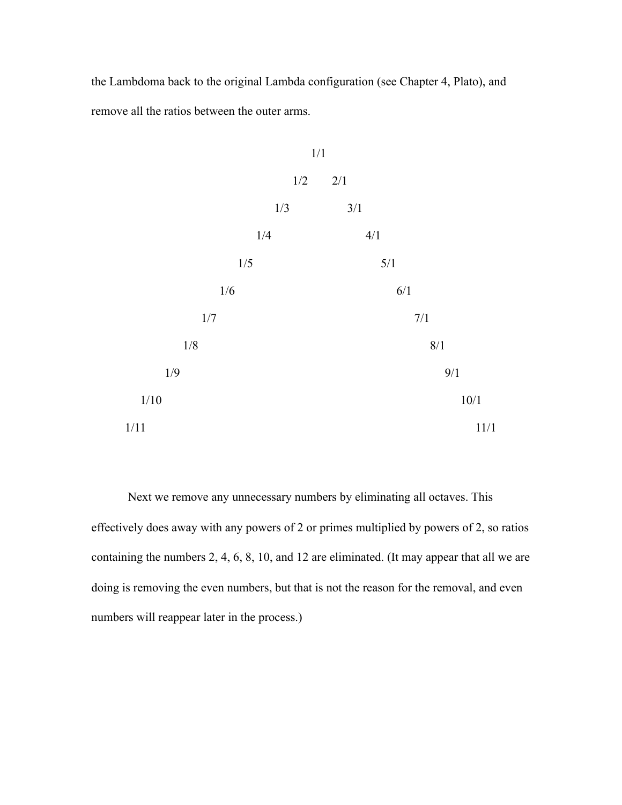the Lambdoma back to the original Lambda configuration (see Chapter 4, Plato), and remove all the ratios between the outer arms.



 Next we remove any unnecessary numbers by eliminating all octaves. This effectively does away with any powers of 2 or primes multiplied by powers of 2, so ratios containing the numbers 2, 4, 6, 8, 10, and 12 are eliminated. (It may appear that all we are doing is removing the even numbers, but that is not the reason for the removal, and even numbers will reappear later in the process.)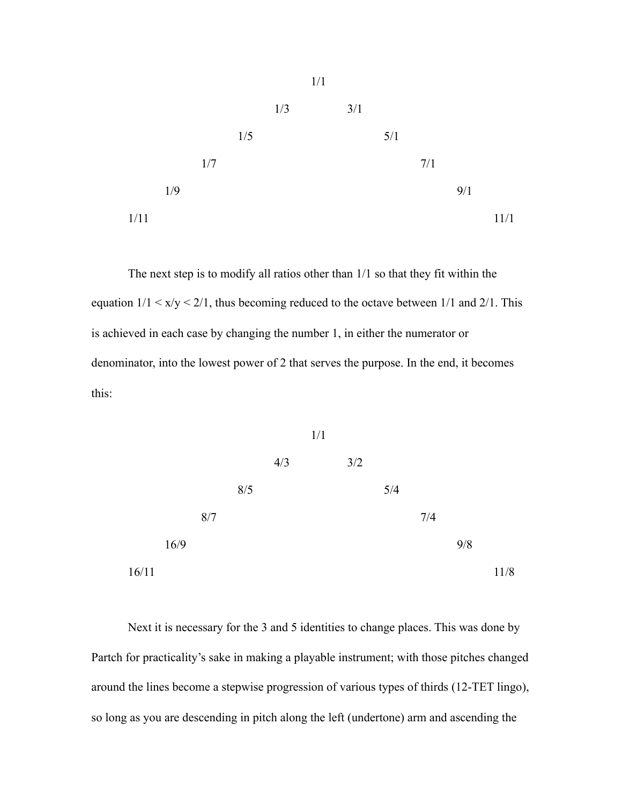

 The next step is to modify all ratios other than 1/1 so that they fit within the equation  $1/1 \le x/y \le 2/1$ , thus becoming reduced to the octave between 1/1 and 2/1. This is achieved in each case by changing the number 1, in either the numerator or denominator, into the lowest power of 2 that serves the purpose. In the end, it becomes this:



 Next it is necessary for the 3 and 5 identities to change places. This was done by Partch for practicality's sake in making a playable instrument; with those pitches changed around the lines become a stepwise progression of various types of thirds (12-TET lingo), so long as you are descending in pitch along the left (undertone) arm and ascending the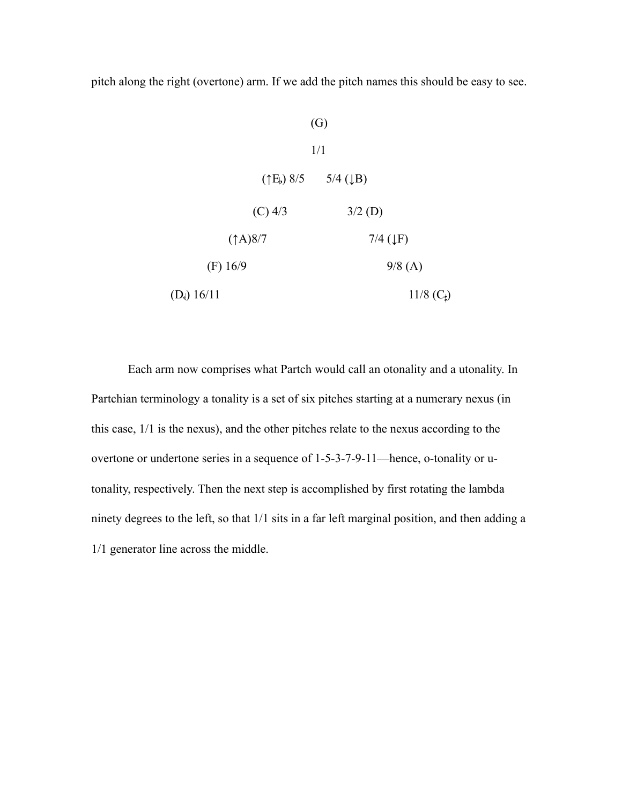pitch along the right (overtone) arm. If we add the pitch names this should be easy to see.



 Each arm now comprises what Partch would call an otonality and a utonality. In Partchian terminology a tonality is a set of six pitches starting at a numerary nexus (in this case, 1/1 is the nexus), and the other pitches relate to the nexus according to the overtone or undertone series in a sequence of 1-5-3-7-9-11—hence, o-tonality or utonality, respectively. Then the next step is accomplished by first rotating the lambda ninety degrees to the left, so that 1/1 sits in a far left marginal position, and then adding a 1/1 generator line across the middle.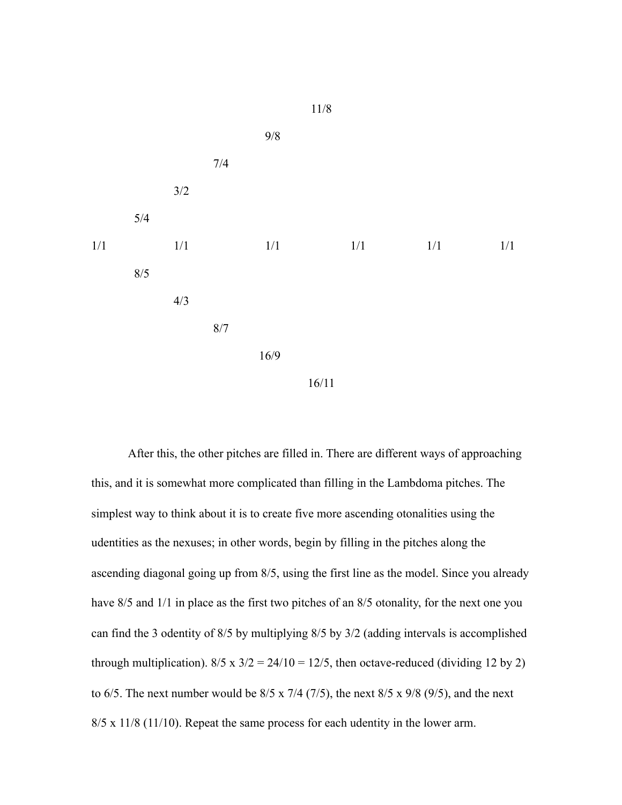

 After this, the other pitches are filled in. There are different ways of approaching this, and it is somewhat more complicated than filling in the Lambdoma pitches. The simplest way to think about it is to create five more ascending otonalities using the udentities as the nexuses; in other words, begin by filling in the pitches along the ascending diagonal going up from 8/5, using the first line as the model. Since you already have  $8/5$  and  $1/1$  in place as the first two pitches of an  $8/5$  otonality, for the next one you can find the 3 odentity of 8/5 by multiplying 8/5 by 3/2 (adding intervals is accomplished through multiplication).  $8/5 \times 3/2 = 24/10 = 12/5$ , then octave-reduced (dividing 12 by 2) to 6/5. The next number would be  $8/5 \times 7/4$  (7/5), the next  $8/5 \times 9/8$  (9/5), and the next 8/5 x 11/8 (11/10). Repeat the same process for each udentity in the lower arm.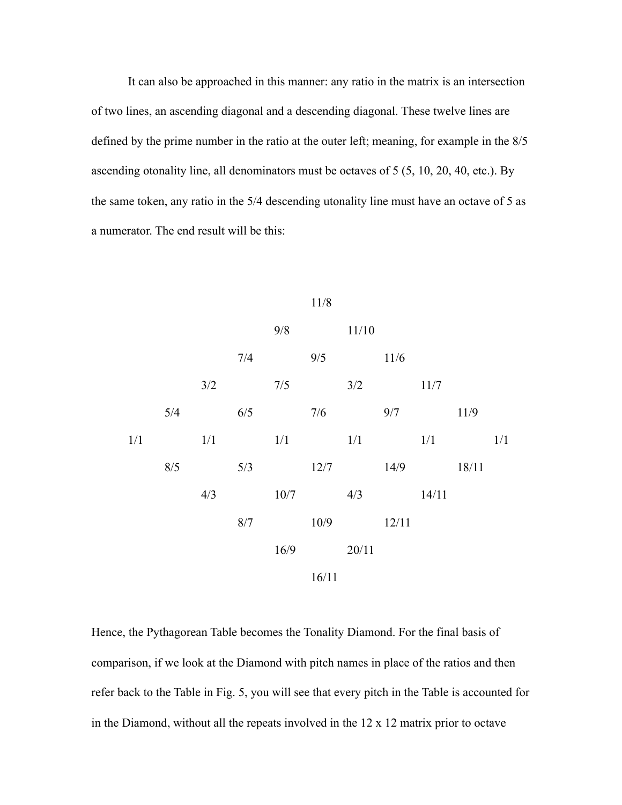It can also be approached in this manner: any ratio in the matrix is an intersection of two lines, an ascending diagonal and a descending diagonal. These twelve lines are defined by the prime number in the ratio at the outer left; meaning, for example in the 8/5 ascending otonality line, all denominators must be octaves of 5 (5, 10, 20, 40, etc.). By the same token, any ratio in the 5/4 descending utonality line must have an octave of 5 as a numerator. The end result will be this:



Hence, the Pythagorean Table becomes the Tonality Diamond. For the final basis of comparison, if we look at the Diamond with pitch names in place of the ratios and then refer back to the Table in Fig. 5, you will see that every pitch in the Table is accounted for in the Diamond, without all the repeats involved in the 12 x 12 matrix prior to octave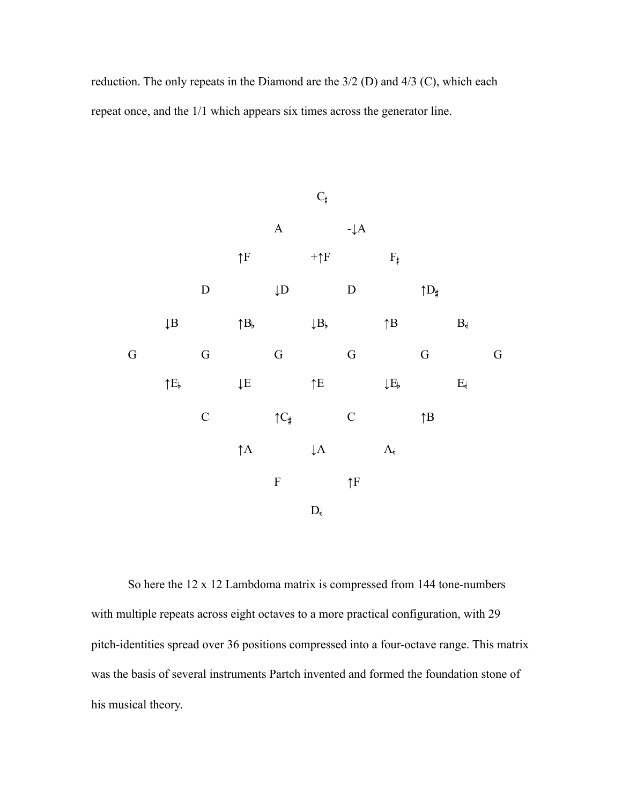reduction. The only repeats in the Diamond are the 3/2 (D) and 4/3 (C), which each repeat once, and the 1/1 which appears six times across the generator line.



So here the 12 x 12 Lambdoma matrix is compressed from 144 tone-numbers with multiple repeats across eight octaves to a more practical configuration, with 29 pitch-identities spread over 36 positions compressed into a four-octave range. This matrix was the basis of several instruments Partch invented and formed the foundation stone of his musical theory.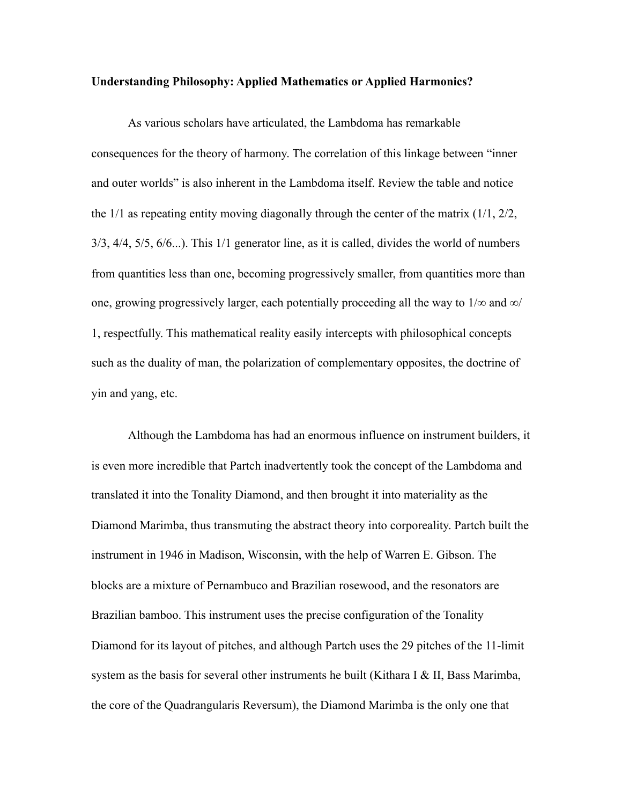#### **Understanding Philosophy: Applied Mathematics or Applied Harmonics?**

As various scholars have articulated, the Lambdoma has remarkable consequences for the theory of harmony. The correlation of this linkage between "inner and outer worlds" is also inherent in the Lambdoma itself. Review the table and notice the 1/1 as repeating entity moving diagonally through the center of the matrix (1/1, 2/2, 3/3, 4/4, 5/5, 6/6...). This 1/1 generator line, as it is called, divides the world of numbers from quantities less than one, becoming progressively smaller, from quantities more than one, growing progressively larger, each potentially proceeding all the way to  $1/\infty$  and  $\infty/$ 1, respectfully. This mathematical reality easily intercepts with philosophical concepts such as the duality of man, the polarization of complementary opposites, the doctrine of yin and yang, etc.

Although the Lambdoma has had an enormous influence on instrument builders, it is even more incredible that Partch inadvertently took the concept of the Lambdoma and translated it into the Tonality Diamond, and then brought it into materiality as the Diamond Marimba, thus transmuting the abstract theory into corporeality. Partch built the instrument in 1946 in Madison, Wisconsin, with the help of Warren E. Gibson. The blocks are a mixture of Pernambuco and Brazilian rosewood, and the resonators are Brazilian bamboo. This instrument uses the precise configuration of the Tonality Diamond for its layout of pitches, and although Partch uses the 29 pitches of the 11-limit system as the basis for several other instruments he built (Kithara I & II, Bass Marimba, the core of the Quadrangularis Reversum), the Diamond Marimba is the only one that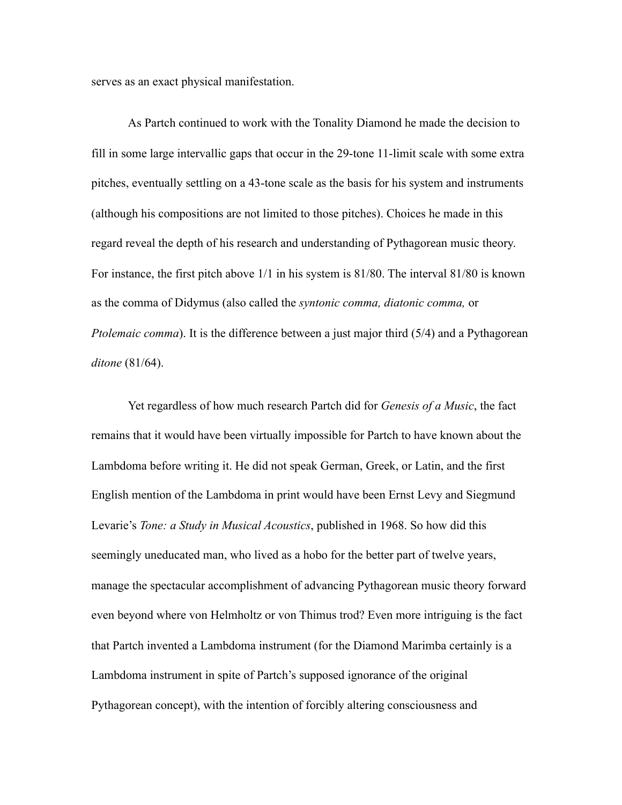serves as an exact physical manifestation.

As Partch continued to work with the Tonality Diamond he made the decision to fill in some large intervallic gaps that occur in the 29-tone 11-limit scale with some extra pitches, eventually settling on a 43-tone scale as the basis for his system and instruments (although his compositions are not limited to those pitches). Choices he made in this regard reveal the depth of his research and understanding of Pythagorean music theory. For instance, the first pitch above 1/1 in his system is 81/80. The interval 81/80 is known as the comma of Didymus (also called the *syntonic comma, diatonic comma,* or *Ptolemaic comma*). It is the difference between a just major third (5/4) and a Pythagorean *ditone* (81/64).

Yet regardless of how much research Partch did for *Genesis of a Music*, the fact remains that it would have been virtually impossible for Partch to have known about the Lambdoma before writing it. He did not speak German, Greek, or Latin, and the first English mention of the Lambdoma in print would have been Ernst Levy and Siegmund Levarie's *Tone: a Study in Musical Acoustics*, published in 1968. So how did this seemingly uneducated man, who lived as a hobo for the better part of twelve years, manage the spectacular accomplishment of advancing Pythagorean music theory forward even beyond where von Helmholtz or von Thimus trod? Even more intriguing is the fact that Partch invented a Lambdoma instrument (for the Diamond Marimba certainly is a Lambdoma instrument in spite of Partch's supposed ignorance of the original Pythagorean concept), with the intention of forcibly altering consciousness and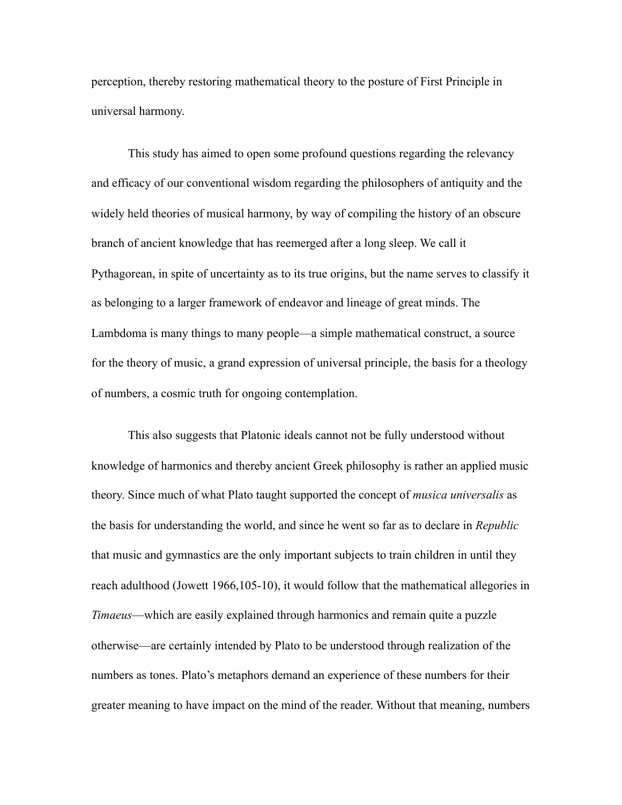perception, thereby restoring mathematical theory to the posture of First Principle in universal harmony.

This study has aimed to open some profound questions regarding the relevancy and efficacy of our conventional wisdom regarding the philosophers of antiquity and the widely held theories of musical harmony, by way of compiling the history of an obscure branch of ancient knowledge that has reemerged after a long sleep. We call it Pythagorean, in spite of uncertainty as to its true origins, but the name serves to classify it as belonging to a larger framework of endeavor and lineage of great minds. The Lambdoma is many things to many people—a simple mathematical construct, a source for the theory of music, a grand expression of universal principle, the basis for a theology of numbers, a cosmic truth for ongoing contemplation.

This also suggests that Platonic ideals cannot not be fully understood without knowledge of harmonics and thereby ancient Greek philosophy is rather an applied music theory. Since much of what Plato taught supported the concept of *musica universalis* as the basis for understanding the world, and since he went so far as to declare in *Republic* that music and gymnastics are the only important subjects to train children in until they reach adulthood (Jowett 1966,105-10), it would follow that the mathematical allegories in *Timaeus*—which are easily explained through harmonics and remain quite a puzzle otherwise—are certainly intended by Plato to be understood through realization of the numbers as tones. Plato's metaphors demand an experience of these numbers for their greater meaning to have impact on the mind of the reader. Without that meaning, numbers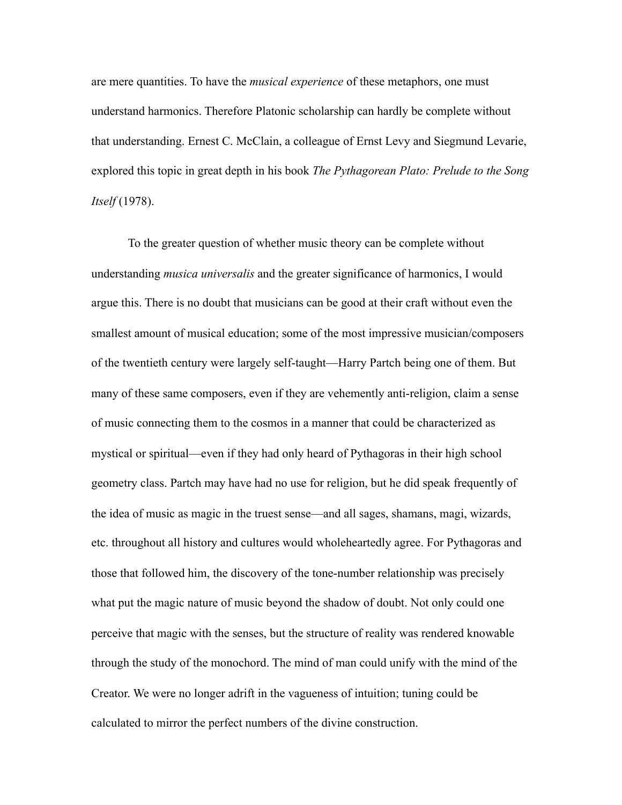are mere quantities. To have the *musical experience* of these metaphors, one must understand harmonics. Therefore Platonic scholarship can hardly be complete without that understanding. Ernest C. McClain, a colleague of Ernst Levy and Siegmund Levarie, explored this topic in great depth in his book *The Pythagorean Plato: Prelude to the Song Itself* (1978).

To the greater question of whether music theory can be complete without understanding *musica universalis* and the greater significance of harmonics, I would argue this. There is no doubt that musicians can be good at their craft without even the smallest amount of musical education; some of the most impressive musician/composers of the twentieth century were largely self-taught—Harry Partch being one of them. But many of these same composers, even if they are vehemently anti-religion, claim a sense of music connecting them to the cosmos in a manner that could be characterized as mystical or spiritual—even if they had only heard of Pythagoras in their high school geometry class. Partch may have had no use for religion, but he did speak frequently of the idea of music as magic in the truest sense—and all sages, shamans, magi, wizards, etc. throughout all history and cultures would wholeheartedly agree. For Pythagoras and those that followed him, the discovery of the tone-number relationship was precisely what put the magic nature of music beyond the shadow of doubt. Not only could one perceive that magic with the senses, but the structure of reality was rendered knowable through the study of the monochord. The mind of man could unify with the mind of the Creator. We were no longer adrift in the vagueness of intuition; tuning could be calculated to mirror the perfect numbers of the divine construction.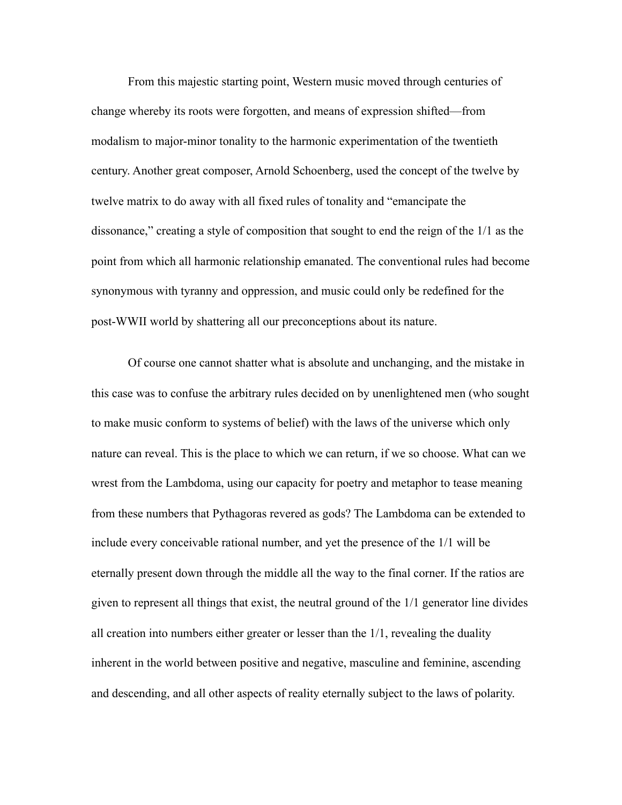From this majestic starting point, Western music moved through centuries of change whereby its roots were forgotten, and means of expression shifted—from modalism to major-minor tonality to the harmonic experimentation of the twentieth century. Another great composer, Arnold Schoenberg, used the concept of the twelve by twelve matrix to do away with all fixed rules of tonality and "emancipate the dissonance," creating a style of composition that sought to end the reign of the 1/1 as the point from which all harmonic relationship emanated. The conventional rules had become synonymous with tyranny and oppression, and music could only be redefined for the post-WWII world by shattering all our preconceptions about its nature.

Of course one cannot shatter what is absolute and unchanging, and the mistake in this case was to confuse the arbitrary rules decided on by unenlightened men (who sought to make music conform to systems of belief) with the laws of the universe which only nature can reveal. This is the place to which we can return, if we so choose. What can we wrest from the Lambdoma, using our capacity for poetry and metaphor to tease meaning from these numbers that Pythagoras revered as gods? The Lambdoma can be extended to include every conceivable rational number, and yet the presence of the 1/1 will be eternally present down through the middle all the way to the final corner. If the ratios are given to represent all things that exist, the neutral ground of the 1/1 generator line divides all creation into numbers either greater or lesser than the  $1/1$ , revealing the duality inherent in the world between positive and negative, masculine and feminine, ascending and descending, and all other aspects of reality eternally subject to the laws of polarity.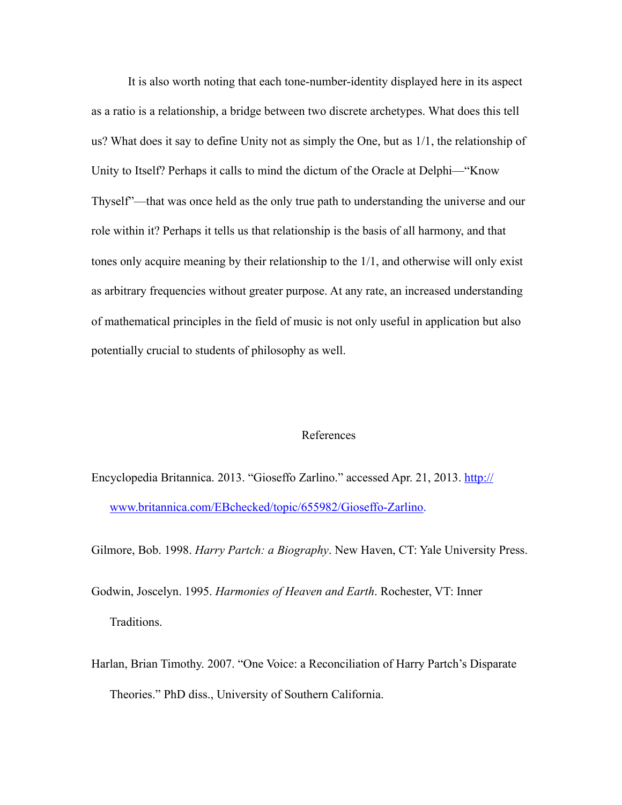It is also worth noting that each tone-number-identity displayed here in its aspect as a ratio is a relationship, a bridge between two discrete archetypes. What does this tell us? What does it say to define Unity not as simply the One, but as 1/1, the relationship of Unity to Itself? Perhaps it calls to mind the dictum of the Oracle at Delphi—"Know Thyself"—that was once held as the only true path to understanding the universe and our role within it? Perhaps it tells us that relationship is the basis of all harmony, and that tones only acquire meaning by their relationship to the 1/1, and otherwise will only exist as arbitrary frequencies without greater purpose. At any rate, an increased understanding of mathematical principles in the field of music is not only useful in application but also potentially crucial to students of philosophy as well.

#### References

En[cyclopedia Britannica. 2013. "Gioseffo Zarlino." accessed Apr. 21, 2013. http://](http://www.britannica.com/EBchecked/topic/655982/Gioseffo-Zarlino) www.britannica.com/EBchecked/topic/655982/Gioseffo-Zarlino.

Gilmore, Bob. 1998. *Harry Partch: a Biography*. New Haven, CT: Yale University Press.

- Godwin, Joscelyn. 1995. *Harmonies of Heaven and Earth*. Rochester, VT: Inner Traditions.
- Harlan, Brian Timothy. 2007. "One Voice: a Reconciliation of Harry Partch's Disparate Theories." PhD diss., University of Southern California.